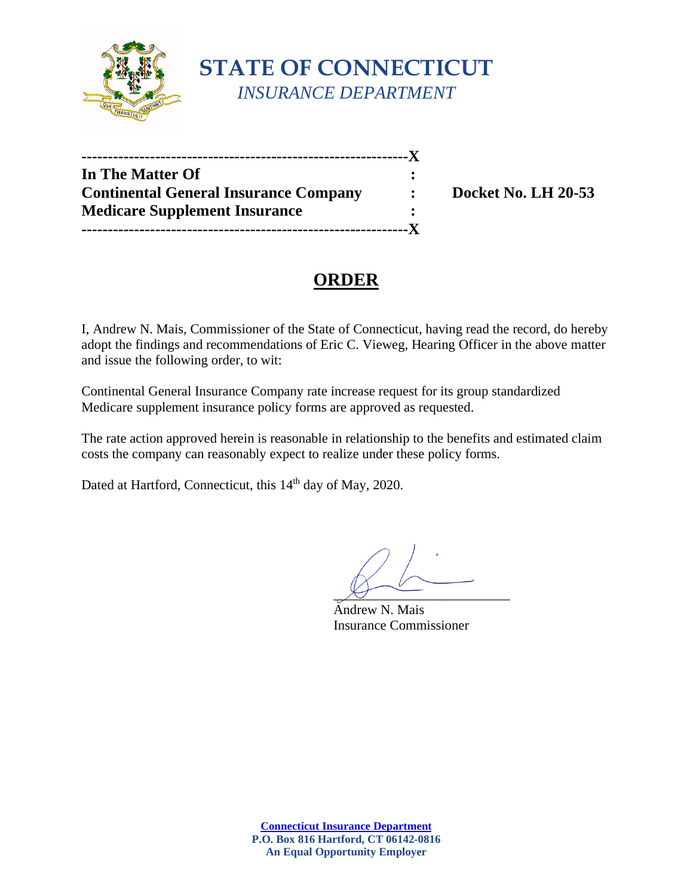

| In The Matter Of                             |                      |
|----------------------------------------------|----------------------|
| <b>Continental General Insurance Company</b> | $\ddot{\phantom{a}}$ |
| <b>Medicare Supplement Insurance</b>         |                      |
|                                              |                      |

**Docket No. LH 20-53** 

# **ORDER**

I, Andrew N. Mais, Commissioner of the State of Connecticut, having read the record, do hereby adopt the findings and recommendations of Eric C. Vieweg, Hearing Officer in the above matter and issue the following order, to wit:

Continental General Insurance Company rate increase request for its group standardized Medicare supplement insurance policy forms are approved as requested.

The rate action approved herein is reasonable in relationship to the benefits and estimated claim costs the company can reasonably expect to realize under these policy forms.

Dated at Hartford, Connecticut, this 14<sup>th</sup> day of May, 2020.

 $\chi$ 

Andrew N. Mais Insurance Commissioner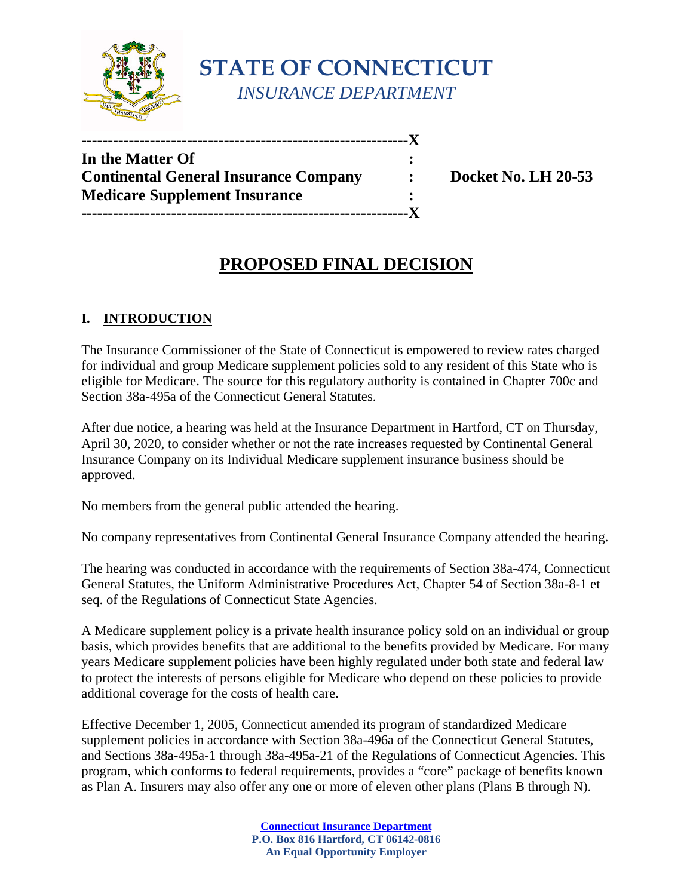

**STATE OF CONNECTICUT** *INSURANCE DEPARTMENT*

| In the Matter Of                             |                |
|----------------------------------------------|----------------|
| <b>Continental General Insurance Company</b> | $\ddot{\cdot}$ |
| <b>Medicare Supplement Insurance</b>         |                |
| -------------------------------------        |                |

**Considered Insurance Continents Continents Continents Continents Continents Continents Continents Continents** 

# **PROPOSED FINAL DECISION**

### **I. INTRODUCTION**

The Insurance Commissioner of the State of Connecticut is empowered to review rates charged for individual and group Medicare supplement policies sold to any resident of this State who is eligible for Medicare. The source for this regulatory authority is contained in Chapter 700c and Section 38a-495a of the Connecticut General Statutes.

After due notice, a hearing was held at the Insurance Department in Hartford, CT on Thursday, April 30, 2020, to consider whether or not the rate increases requested by Continental General Insurance Company on its Individual Medicare supplement insurance business should be approved.

No members from the general public attended the hearing.

No company representatives from Continental General Insurance Company attended the hearing.

The hearing was conducted in accordance with the requirements of Section 38a-474, Connecticut General Statutes, the Uniform Administrative Procedures Act, Chapter 54 of Section 38a-8-1 et seq. of the Regulations of Connecticut State Agencies.

A Medicare supplement policy is a private health insurance policy sold on an individual or group basis, which provides benefits that are additional to the benefits provided by Medicare. For many years Medicare supplement policies have been highly regulated under both state and federal law to protect the interests of persons eligible for Medicare who depend on these policies to provide additional coverage for the costs of health care.

Effective December 1, 2005, Connecticut amended its program of standardized Medicare supplement policies in accordance with Section 38a-496a of the Connecticut General Statutes, and Sections 38a-495a-1 through 38a-495a-21 of the Regulations of Connecticut Agencies. This program, which conforms to federal requirements, provides a "core" package of benefits known as Plan A. Insurers may also offer any one or more of eleven other plans (Plans B through N).

> **[Connecticut Insurance Department](https://portal.ct.gov/cid) P.O. Box 816 Hartford, CT 06142-0816 An Equal Opportunity Employer**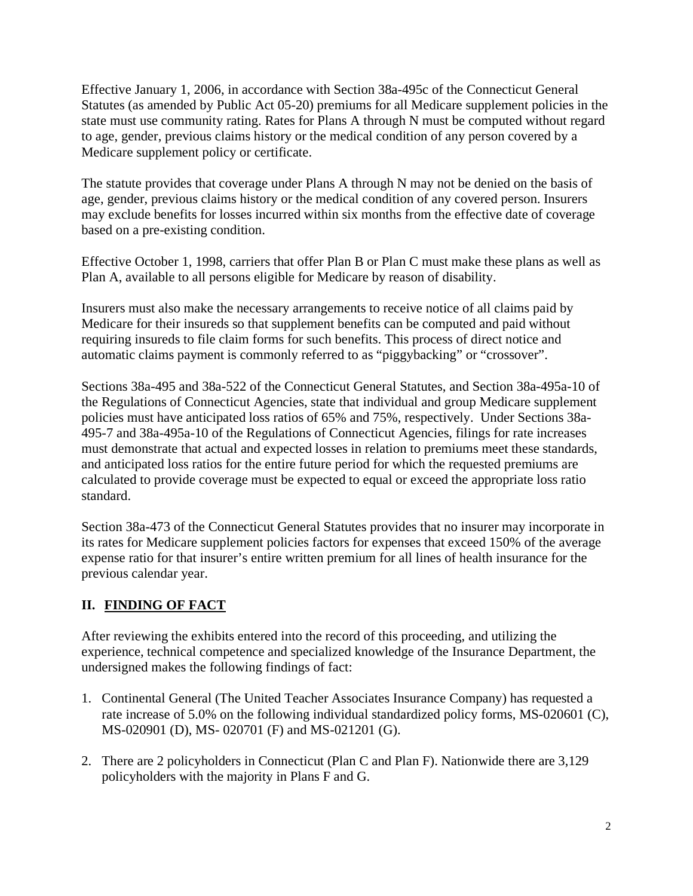Effective January 1, 2006, in accordance with Section 38a-495c of the Connecticut General Statutes (as amended by Public Act 05-20) premiums for all Medicare supplement policies in the state must use community rating. Rates for Plans A through N must be computed without regard to age, gender, previous claims history or the medical condition of any person covered by a Medicare supplement policy or certificate.

The statute provides that coverage under Plans A through N may not be denied on the basis of age, gender, previous claims history or the medical condition of any covered person. Insurers may exclude benefits for losses incurred within six months from the effective date of coverage based on a pre-existing condition.

Effective October 1, 1998, carriers that offer Plan B or Plan C must make these plans as well as Plan A, available to all persons eligible for Medicare by reason of disability.

Insurers must also make the necessary arrangements to receive notice of all claims paid by Medicare for their insureds so that supplement benefits can be computed and paid without requiring insureds to file claim forms for such benefits. This process of direct notice and automatic claims payment is commonly referred to as "piggybacking" or "crossover".

Sections 38a-495 and 38a-522 of the Connecticut General Statutes, and Section 38a-495a-10 of the Regulations of Connecticut Agencies, state that individual and group Medicare supplement policies must have anticipated loss ratios of 65% and 75%, respectively. Under Sections 38a-495-7 and 38a-495a-10 of the Regulations of Connecticut Agencies, filings for rate increases must demonstrate that actual and expected losses in relation to premiums meet these standards, and anticipated loss ratios for the entire future period for which the requested premiums are calculated to provide coverage must be expected to equal or exceed the appropriate loss ratio standard.

Section 38a-473 of the Connecticut General Statutes provides that no insurer may incorporate in its rates for Medicare supplement policies factors for expenses that exceed 150% of the average expense ratio for that insurer's entire written premium for all lines of health insurance for the previous calendar year.

### **II. FINDING OF FACT**

After reviewing the exhibits entered into the record of this proceeding, and utilizing the experience, technical competence and specialized knowledge of the Insurance Department, the undersigned makes the following findings of fact:

- 1. Continental General (The United Teacher Associates Insurance Company) has requested a rate increase of 5.0% on the following individual standardized policy forms, MS-020601 (C), MS-020901 (D), MS- 020701 (F) and MS-021201 (G).
- 2. There are 2 policyholders in Connecticut (Plan C and Plan F). Nationwide there are 3,129 policyholders with the majority in Plans F and G.